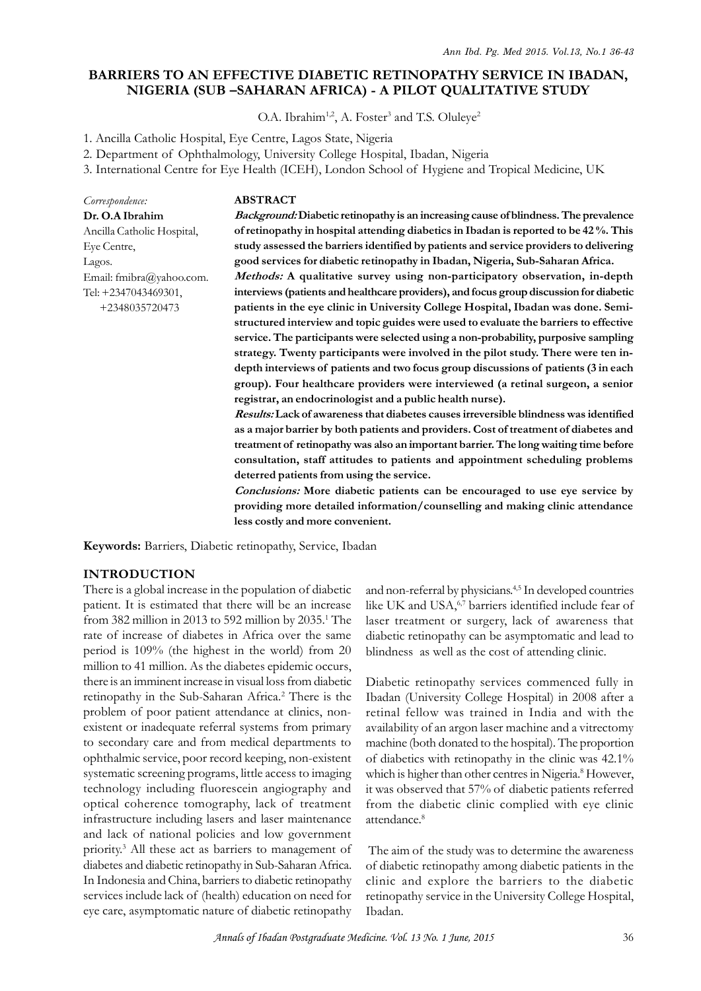# **BARRIERS TO AN EFFECTIVE DIABETIC RETINOPATHY SERVICE IN IBADAN, NIGERIA (SUB –SAHARAN AFRICA) - A PILOT QUALITATIVE STUDY** 2. Department of Ophthalmology, University College Hospital, Ibadan, Nigeria<br>2. Department of Ophthalmology, University College Hospital, Ibadan, Nigeria<br>3. International Centre for Eye Health (ICEH), London School of Hygi

O.A. Ibrahim<sup>1,2</sup>, A. Foster<sup>3</sup> and T.S. Oluleye<sup>2</sup>

1. Ancilla Catholic Hospital, Eye Centre, Lagos State, Nigeria

**ABSTRACT**

33. International Centre for Eye Health (ICEH), London School of Hygiene and Tropical Medicine, UK

*Correspondence:* **Dr. O.A Ibrahim** Ancilla Catholic Hospital, Eye Centre, Lagos. Email: fmibra@yahoo.com. Tel: +2347043469301,

+2348035720473

*Background:* **Diabetic retinopathy is an increasing cause of blindness. The prevalence of retinopathy in hospital attending diabetics in Ibadan is reported to be 42 %. This study assessed the barriers identified by patients and service providers to delivering good services for diabetic retinopathy in Ibadan, Nigeria, Sub-Saharan Africa.**

*Methods:* **A qualitative survey using non-participatory observation, in-depth interviews (patients and healthcare providers), and focus group discussion for diabetic patients in the eye clinic in University College Hospital, Ibadan was done. Semistructured interview and topic guides were used to evaluate the barriers to effective service. The participants were selected using a non-probability, purposive sampling strategy. Twenty participants were involved in the pilot study. There were ten indepth interviews of patients and two focus group discussions of patients (3 in each group). Four healthcare providers were interviewed (a retinal surgeon, a senior registrar, an endocrinologist and a public health nurse).**

*Results:* **Lack of awareness that diabetes causes irreversible blindness was identified as a major barrier by both patients and providers. Cost of treatment of diabetes and** group). Four healthcare providers were interviewed (a retinal surgeon, a senior<br>registrar, an endocrinologist and a public health nurse).<br>*Results:* Lack of awareness that diabetes causes irreversible blindness was identif **consultation, staff attitudes to patients and appointment scheduling problems deterred patients from using the service.**

*Conclusions:* **More diabetic patients can be encouraged to use eye service by providing more detailed information/counselling and making clinic attendance less costly and more convenient.**

**Keywords:** Barriers, Diabetic retinopathy, Service, Ibadan

#### **INTRODUCTION**

There is a global increase in the population of diabetic patient. It is estimated that there will be an increase from 382 million in 2013 to 592 million by 2035.<sup>1</sup> The rate of increase of diabetes in Africa over the same period is 109% (the highest in the world) from 20 million to 41 million. As the diabetes epidemic occurs, there is an imminent increase in visual loss from diabetic retinopathy in the Sub-Saharan Africa.<sup>2</sup> There is the Ibada problem of poor patient attendance at clinics, nonexistent or inadequate referral systems from primary to secondary care and from medical departments to ophthalmic service, poor record keeping, non-existent systematic screening programs, little access to imaging technology including fluorescein angiography and it was observed that 57% of diabetic patients referred optical coherence tomography, lack of treatment infrastructure including lasers and laser maintenance and lack of national policies and low government priority.<sup>3</sup> All these act as barriers to management of Th diabetes and diabetic retinopathy in Sub-Saharan Africa. In Indonesia and China, barriers to diabetic retinopathy intrastructure including lasers and laser maintenance<br>and lack of national policies and low government<br>priority.<sup>3</sup> All these act as barriers to management of<br>diabetes and diabetic retinopathy in Sub-Saharan Africa.<br>In Ind eye care, asymptomatic nature of diabetic retinopathy

laser treatment or surgery, lack of awareness that and non-referral by physicians.4,5 In developed countries like UK and USA,<sup>6,7</sup> barriers identified include fear of and non-referral by physicians.<sup>4,5</sup> In developed countries<br>like UK and USA,<sup>6,7</sup> barriers identified include fear of<br>laser treatment or surgery, lack of awareness that<br>diabetic retinopathy can be asymptomatic and lead to<br> blindness as well as the cost of attending clinic.

Diabetic retinopathy services commenced fully in Ibadan (University College Hospital) in 2008 after a retinal fellow was trained in India and with the availability of an argon laser machine and a vitrectomy machine (both donated to the hospital). The proportion of diabetics with retinopathy in the clinic was 42.1% which is higher than other centres in Nigeria.<sup>8</sup> However, retinal fellow was trained in India and with the<br>availability of an argon laser machine and a vitrectomy<br>machine (both donated to the hospital). The proportion<br>of diabetics with retinopathy in the clinic was 42.1%<br>which is from the diabetic clinic complied with eye clinic attendance.<sup>8</sup> which is higher than other centres in Nigeria.<sup>9</sup> However,<br>it was observed that 57% of diabetic patients referred<br>from the diabetic clinic complied with eye clinic<br>attendance.<sup>8</sup><br>The aim of the study was to determine the a

of diabetic retinopathy among diabetic patients in the clinic and explore the barriers to the diabetic retinopathy service in the University College Hospital, Ibadan.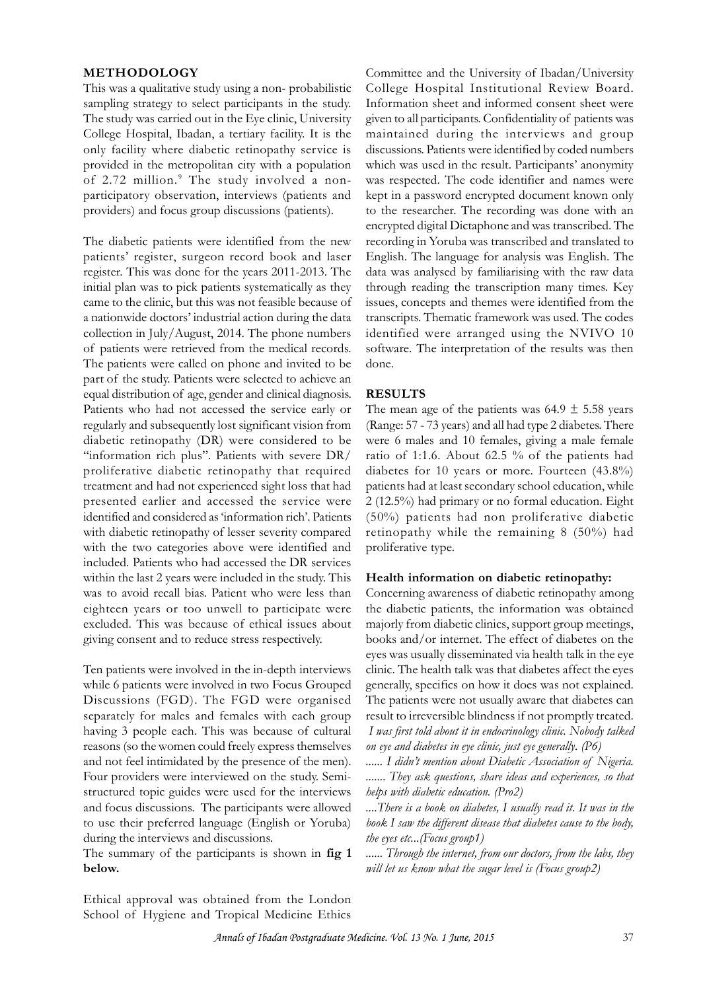#### **METHODOLOGY**

This was a qualitative study using a non- probabilistic sampling strategy to select participants in the study. College Hospital, Ibadan, a tertiary facility. It is the only facility where diabetic retinopathy service is provided in the metropolitan city with a population of 2.72 million.<sup>9</sup> The study involved a nonparticipatory observation, interviews (patients and providers) and focus group discussions (patients).

The diabetic patients were identified from the new patients' register, surgeon record book and laser register. This was done for the years 2011-2013. The initial plan was to pick patients systematically as they came to the clinic, but this was not feasible because of a nationwide doctors' industrial action during the data collection in July/August, 2014. The phone numbers register. This was done for the years 2011-2013. The<br>initial plan was to pick patients systematically as they<br>came to the clinic, but this was not feasible because of<br>a nationwide doctors' industrial action during the data The patients were called on phone and invited to be came to the clinic, but this was not teasible because of issues,<br>a nationwide doctors' industrial action during the data transcr<br>collection in July/August, 2014. The phone numbers identiti<br>of patients were retrieved from t a nationwide doctors' industrial action during the data<br>
collection in July/August, 2014. The phone numbers<br>
of patients were retrieved from the medical records.<br>
The patients were called on phone and invited to be<br>
part o Patients who had not accessed the service early or regularly and subsequently lost significant vision from diabetic retinopathy (DR) were considered to be "information rich plus". Patients with severe DR/ proliferative diabetic retinopathy that required treatment and had not experienced sight loss that had presented earlier and accessed the service were identified and considered as 'information rich'. Patients with diabetic retinopathy of lesser severity compared with the two categories above were identified and included. Patients who had accessed the DR services within the last 2 years were included in the study. This was to avoid recall bias. Patient who were less than eighteen years or too unwell to participate were excluded. This was because of ethical issues about giving consent and to reduce stress respectively.

Ten patients were involved in the in-depth interviews while 6 patients were involved in two Focus Grouped Discussions (FGD). The FGD were organised separately for males and females with each group having 3 people each. This was because of cultural reasons (so the women could freely express themselves and not feel intimidated by the presence of the men). ...... I didn't mention about Diabetic Association of Nigeria. Four providers were interviewed on the study. Semistructured topic guides were used for the interviews and focus discussions. The participants were allowed to use their preferred language (English or Yoruba) during the interviews and discussions.

The summary of the participants is shown in **fig 1 below.**

The study was carried out in the Eye clinic, University given to all participants. Confidentiality of patients was Committee and the University of Ibadan/University College Hospital Institutional Review Board. Information sheet and informed consent sheet were Committee and the University of Ibadan/University<br>College Hospital Institutional Review Board.<br>Information sheet and informed consent sheet were<br>given to all participants. Confidentiality of patients was<br>maintained during discussions. Patients were identified by coded numbers which was used in the result. Participants' anonymity was respected. The code identifier and names were kept in a password encrypted document known only to the researcher. The recording was done with an encrypted digital Dictaphone and was transcribed. The recording in Yoruba was transcribed and translated to English. The language for analysis was English. The data was analysed by familiarising with the raw data through reading the transcription many times. Key issues, concepts and themes were identified from the transcripts. Thematic framework was used. The codes identified were arranged using the NVIVO 10 software. The interpretation of the results was then done.

#### **RESULTS**

The mean age of the patients was  $64.9 \pm 5.58$  years (Range: 57 - 73 years) and all had type 2 diabetes. There were 6 males and 10 females, giving a male female ratio of 1:1.6. About 62.5 % of the patients had diabetes for 10 years or more. Fourteen (43.8%) patients had at least secondary school education, while 2 (12.5%) had primary or no formal education. Eight (50%) patients had non proliferative diabetic retinopathy while the remaining 8 (50%) had proliferative type.

#### **Health information on diabetic retinopathy:**

Concerning awareness of diabetic retinopathy among the diabetic patients, the information was obtained majorly from diabetic clinics, support group meetings, books and/or internet. The effect of diabetes on the eyes was usually disseminated via health talk in the eye clinic. The health talk was that diabetes affect the eyes generally, specifics on how it does was not explained. The patients were not usually aware that diabetes can result to irreversible blindness if not promptly treated.  *I was first told about it in endocrinology clinic. Nobody talked on eye and diabetes in eye clinic, just eye generally. (P6)* generally, specifics on how it does was not explained.<br>The patients were not usually aware that diabetes can<br>result to irreversible blindness if not promptly treated.<br>*I was first told about it in endocrinology clinic*. No

*....... They ask questions, share ideas and experiences, so that helps with diabetic education. (Pro2)*

*....There is a book on diabetes, I usually read it. It was in the book I saw the different disease that diabetes cause to the body, the eyes etc...(Focus group1)*

*...... Through the internet, from our doctors, from the labs, they will let us know what the sugar level is (Focus group2)*

Ethical approval was obtained from the London during the interviews and discussions. *the e*<br>The summary of the participants is shown in **fig 1** ......<br>**below.**<br>Ethical approval was obtained from the London<br>School of Hygiene and Tropical Medicine Ethics<br>*Annals of Iba*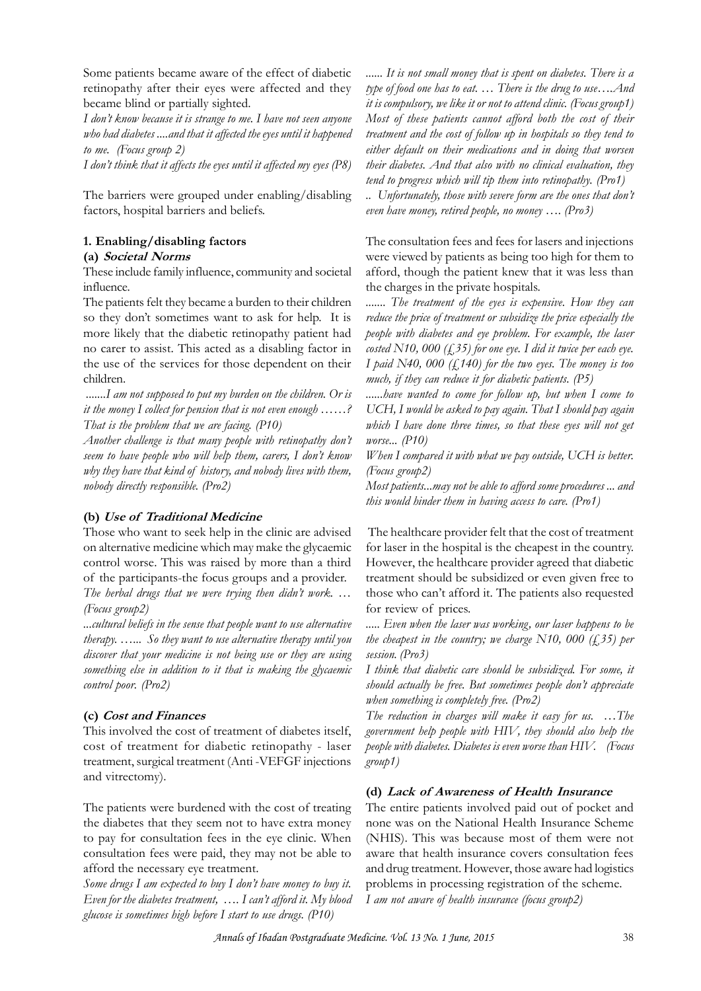Some patients became aware of the effect of diabetic retinopathy after their eyes were affected and they became blind or partially sighted.

*I don't know because it is strange to me. I have not seen anyone who had diabetes ....and that it affected the eyes until it happened to me. (Focus group 2)*

*I don't think that it affects the eyes until it affected my eyes (P8)*

The barriers were grouped under enabling/disabling factors, hospital barriers and beliefs.

# **1. Enabling/disabling factors**

#### **(a)** *Societal Norms*

These include family influence, community and societal influence.

The patients felt they became a burden to their children ........ T so they don't sometimes want to ask for help. It is more likely that the diabetic retinopathy patient had no carer to assist. This acted as a disabling factor in the<br>the patients felt they became a burden to their children<br>so they don't sometimes want to ask for help. It is<br>more likely that the diabetic retinopathy patient had<br>no carer to assist. This acted as a disabling factor i children.

 *.......I am not supposed to put my burden on the children. Or is it the money I collect for pension that is not even enough ……? That is the problem that we are facing. (P10)*

*Another challenge is that many people with retinopathy don't seem to have people who will help them, carers, I don't know which am not supposed to put my burden on the children.* Or is<br>it the money I collect for pension that is not even enough ......?<br>That is the problem that we are facing. (P10)<br>Another challenge is that many people with re *nobody directly responsible. (Pro2)*

# **(b)** *Use of Traditional Medicine*

Those who want to seek help in the clinic are advised on alternative medicine which may make the glycaemic control worse. This was raised by more than a third (b) Use of Traditional Medicine<br>Those who want to seek help in the clinic are advised<br>on alternative medicine which may make the glycaemic<br>control worse. This was raised by more than a third<br>of the participants-the focus *The herbal drugs that we were trying then didn't work. … (Focus group2)*

*...cultural beliefs in the sense that people want to use alternative therapy. …... So they want to use alternative therapy until you discover that your medicine is not being use or they are using something else in addition to it that is making the glycaemic control poor. (Pro2)*

# **(c)** *Cost and Finances*

This involved the cost of treatment of diabetes itself, cost of treatment for diabetic retinopathy - laser treatment, surgical treatment (Anti -VEFGF injections and vitrectomy).

The patients were burdened with the cost of treating the diabetes that they seem not to have extra money to pay for consultation fees in the eye clinic. When consultation fees were paid, they may not be able to afford the necessary eye treatment.

*Some drugs I am expected to buy I don't have money to buy it. Even for the diabetes treatment, …. I can't afford it. My blood glucose is sometimes high before I start to use drugs. (P10)*

*...... It is not small money that is spent on diabetes. There is a type of food one has to eat. … There is the drug to use….And it is compulsory, we like it or not to attend clinic. (Focus group1) Most of these patients cannot afford both the cost of their treatment and the cost of follow up in hospitals so they tend to either default on their medications and in doing that worsen their diabetes. And that also with no clinical evaluation, they tend to progress which will tip them into retinopathy. (Pro1)*

*.. Unfortunately, those with severe form are the ones that don't even have money, retired people, no money …. (Pro3)*

The consultation fees and fees for lasers and injections were viewed by patients as being too high for them to afford, though the patient knew that it was less than the charges in the private hospitals.

*....... The treatment of the eyes is expensive. How they can reduce the price of treatment or subsidize the price especially the people with diabetes and eye problem. For example, the laser costed N10, 000 (£35) for one eye. I did it twice per each eye. I paid N40, 000 (£140) for the two eyes. The money is too much, if they can reduce it for diabetic patients. (P5)*

*......have wanted to come for follow up, but when I come to UCH, I would be asked to pay again. That I should pay again which I have done three times, so that these eyes will not get worse... (P10)*

*When I compared it with what we pay outside, UCH is better. (Focus group2)*

*Most patients...may not be able to afford some procedures ... and this would hinder them in having access to care. (Pro1)*

 The healthcare provider felt that the cost of treatment for laser in the hospital is the cheapest in the country. However, the healthcare provider agreed that diabetic treatment should be subsidized or even given free to those who can't afford it. The patients also requested The healthcare provider felt that the cost of treatment<br>for laser in the hospital is the cheapest in the country.<br>However, the healthcare provider agreed that diabetic<br>treatment should be subsidized or even given free to<br>t

*the cheapest in the country; we charge N10, 000 (£35) per session. (Pro3)*

*I think that diabetic care should be subsidized. For some, it should actually be free. But sometimes people don't appreciate when something is completely free. (Pro2)*

*The reduction in charges will make it easy for us. …The government help people with HIV, they should also help the people with diabetes. Diabetes is even worse than HIV. (Focus group1)*

# **(d)** *Lack of Awareness of Health Insurance*

The entire patients involved paid out of pocket and none was on the National Health Insurance Scheme (NHIS). This was because most of them were not aware that health insurance covers consultation fees and drug treatment. However, those aware had logistics problems in processing registration of the scheme. *I am not aware of health insurance (focus group2)*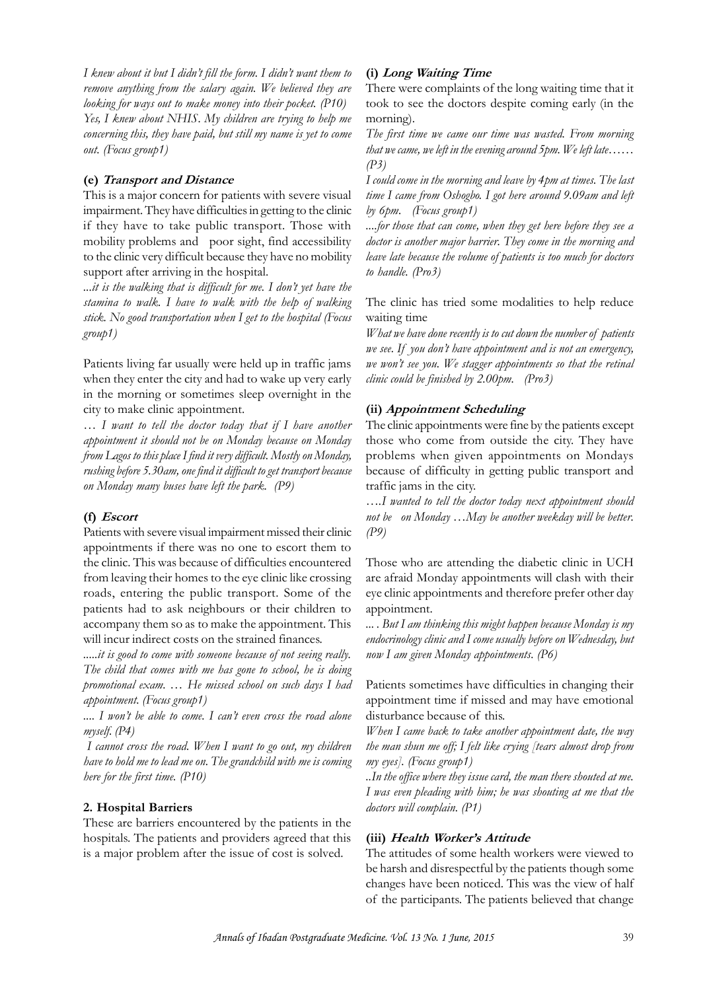*I knew about it but I didn't fill the form. I didn't want them to remove anything from the salary again. We believed they are looking for ways out to make money into their pocket. (P10) Yes, I knew about NHIS. My children are trying to help me concerning this, they have paid, but still my name is yet to come out. (Focus group1)*

## **(e)** *Transport and Distance*

This is a major concern for patients with severe visual impairment. They have difficulties in getting to the clinic if they have to take public transport. Those with mobility problems and poor sight, find accessibility to the clinic very difficult because they have no mobility support after arriving in the hospital.

*...it is the walking that is difficult for me. I don't yet have the stamina to walk. I have to walk with the help of walking stick. No good transportation when I get to the hospital (Focus group1)*

Patients living far usually were held up in traffic jams when they enter the city and had to wake up very early in the morning or sometimes sleep overnight in the city to make clinic appointment.

*… I want to tell the doctor today that if I have another appointment it should not be on Monday because on Monday from Lagos to this place I find it very difficult. Mostly on Monday, rushing before 5.30am, one find it difficult to get transport because on Monday many buses have left the park. (P9)*

# **(f)** *Escort*

Patients with severe visual impairment missed their clinic appointments if there was no one to escort them to the clinic. This was because of difficulties encountered from leaving their homes to the eye clinic like crossing roads, entering the public transport. Some of the patients had to ask neighbours or their children to accompany them so as to make the appointment. This will incur indirect costs on the strained finances.

*.....it is good to come with someone because of not seeing really. The child that comes with me has gone to school, he is doing promotional exam. … He missed school on such days I had appointment. (Focus group1)*

*.... I won't be able to come. I can't even cross the road alone myself. (P4)*

 *I cannot cross the road. When I want to go out, my children have to hold me to lead me on. The grandchild with me is coming here for the first time. (P10)*

# **2. Hospital Barriers**

These are barriers encountered by the patients in the hospitals. The patients and providers agreed that this is a major problem after the issue of cost is solved.

# **(i)** *Long Waiting Time*

There were complaints of the long waiting time that it took to see the doctors despite coming early (in the morning).

*The first time we came our time was wasted. From morning that we came, we left in the evening around 5pm. We left late…… (P3)*

*I could come in the morning and leave by 4pm at times. The last time I came from Oshogbo. I got here around 9.09am and left by 6pm. (Focus group1)*

*....for those that can come, when they get here before they see a doctor is another major barrier. They come in the morning and leave late because the volume of patients is too much for doctors to handle. (Pro3)*

The clinic has tried some modalities to help reduce waiting time

*We have late because the volume of patients is too much for doctors*<br> *to handle.* (Pro3)<br> *The clinic has tried some modalities to help reduce*<br> *What we have done recently is to cut down the number of patients*<br> *we see we set to handle.* (*Pro3*)<br> *What we have done recently is to cut down the number of patients*<br> *we see. If you don't have appointment and is not an emergency,*<br> *we won't see you. We stagger appointments so that the ret we won't see you. We stagger appointments so that the retinal clinic could be finished by 2.00pm. (Pro3)*

# **(ii)** *Appointment Scheduling*

The clinic appointments were fine by the patients except those who come from outside the city. They have problems when given appointments on Mondays because of difficulty in getting public transport and traffic jams in the city.

*….I wanted to tell the doctor today next appointment should not be on Monday …May be another weekday will be better. (P9)*

Those who are attending the diabetic clinic in UCH are afraid Monday appointments will clash with their eye clinic appointments and therefore prefer other day appointment.

*... . But I am thinking this might happen because Monday is my endocrinology clinic and I come usually before on Wednesday, but now I am given Monday appointments. (P6)*

Patients sometimes have difficulties in changing their appointment time if missed and may have emotional endocrinology clinic and I come usually before on Wedi<br>now I am given Monday appointments. (P6)<br>Patients sometimes have difficulties in chang<br>appointment time if missed and may have es<br>disturbance because of this.<br>When I c

*When I came back to take another appointment date, the way the man shun me off; I felt like crying [tears almost drop from my eyes]. (Focus group1)*

*..In the office where they issue card, the man there shouted at me. I was even pleading with him; he was shouting at me that the doctors will complain. (P1)*

# **(iii)** *Health Worker's Attitude*

The attitudes of some health workers were viewed to be harsh and disrespectful by the patients though some changes have been noticed. This was the view of half (iii) *Health Worker's Attitude*<br>The attitudes of some health workers were viewed to<br>be harsh and disrespectful by the patients though some<br>changes have been noticed. This was the view of half<br>of the participants. The pati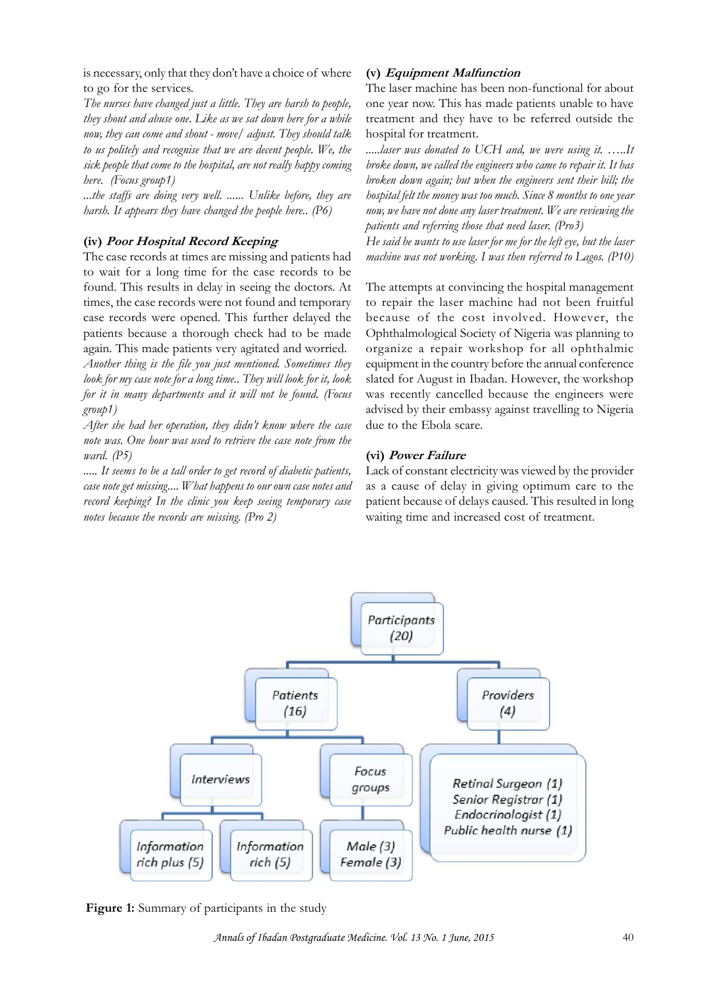is necessary, only that they don't have a choice of where  $\frac{v}{\sqrt{2}}$   $\frac{Equipn}{2}$ <br>to go for the services. to go for the services.

*The nurses have changed just a little. They are harsh to people, they shout and abuse one. Like as we sat down here for a while now, they can come and shout - move/ adjust. They should talk to us politely and recognise that we are decent people. We, the sick people that come to the hospital, are not really happy coming here. (Focus group1)*

*...the staffs are doing very well. ...... Unlike before, they are harsh. It appears they have changed the people here.. (P6)*

## **(iv)** *Poor Hospital Record Keeping*

The case records at times are missing and patients had to wait for a long time for the case records to be found. This results in delay in seeing the doctors. At times, the case records were not found and temporary case records were opened. This further delayed the patients because a thorough check had to be made again. This made patients very agitated and worried. *Another thing is the file you just mentioned. Sometimes they look for my case note for a long time.. They will look for it, look for it in many departments and it will not be found. (Focus group1)*

*After she had her operation, they didn't know where the case note was. One hour was used to retrieve the case note from the ward. (P5)*

*..... It seems to be a tall order to get record of diabetic patients, case note get missing.... What happens to our own case notes and record keeping? In the clinic you keep seeing temporary case notes because the records are missing. (Pro 2)*

## **(v)** *Equipment Malfunction*

The laser machine has been non-functional for about one year now. This has made patients unable to have treatment and they have to be referred outside the hospital for treatment.

*.....laser was donated to UCH and, we were using it. …..It broke down, we called the engineers who came to repair it. It has broken down again; but when the engineers sent their bill; the hospital felt the money was too much. Since 8 months to one year now, we have not done any laser treatment. We are reviewing the patients and referring those that need laser. (Pro3)*

*He said he wants to use laser for me for the left eye, but the laser machine was not working. I was then referred to Lagos. (P10)*

The attempts at convincing the hospital management to repair the laser machine had not been fruitful because of the cost involved. However, the Ophthalmological Society of Nigeria was planning to organize a repair workshop for all ophthalmic equipment in the country before the annual conference slated for August in Ibadan. However, the workshop was recently cancelled because the engineers were advised by their embassy against travelling to Nigeria due to the Ebola scare.

# **(vi)** *Power Failure*

Lack of constant electricity was viewed by the provider as a cause of delay in giving optimum care to the patient because of delays caused. This resulted in long waiting time and increased cost of treatment.



**Figure 1:** Summary of participants in the study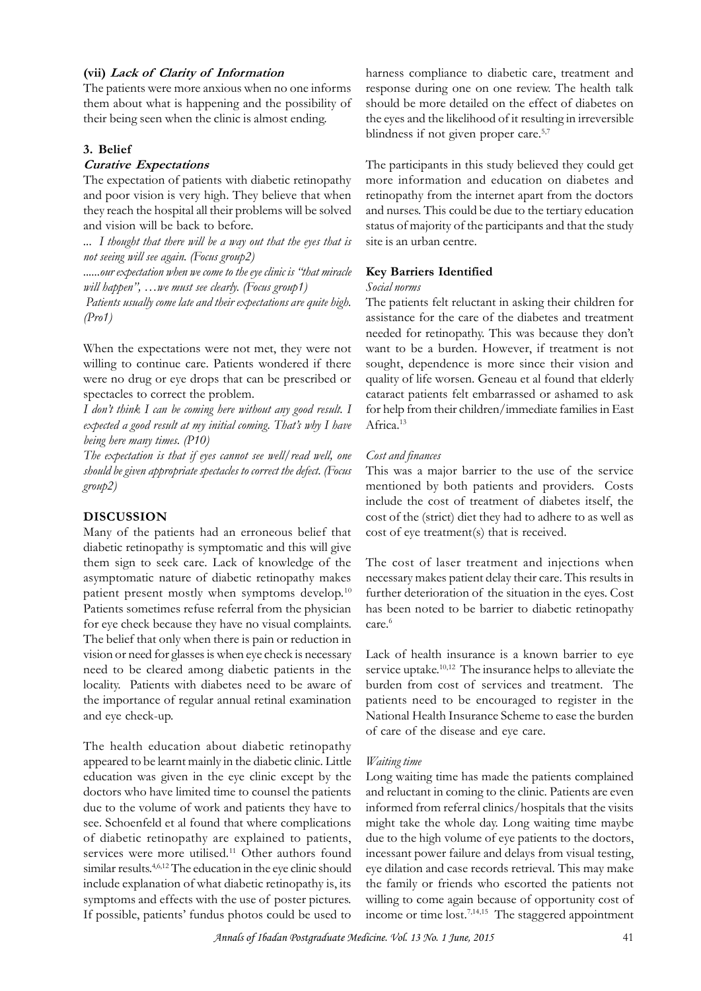#### **(vii)** *Lack of Clarity of Information*

The patients were more anxious when no one informs them about what is happening and the possibility of their being seen when the clinic is almost ending.

#### **3. Belief**

#### *Curative Expectations*

The expectation of patients with diabetic retinopathy and poor vision is very high. They believe that when they reach the hospital all their problems will be solved and vision will be back to before.

*... I thought that there will be a way out that the eyes that is not seeing will see again. (Focus group2)*

*......our expectation when we come to the eye clinic is "that miracle will happen", …we must see clearly. (Focus group1)*

 *Patients usually come late and their expectations are quite high. (Pro1)*

When the expectations were not met, they were not willing to continue care. Patients wondered if there were no drug or eye drops that can be prescribed or spectacles to correct the problem.

*I don't think I can be coming here without any good result. I expected a good result at my initial coming. That's why I have being here many times. (P10)*

*The expectation is that if eyes cannot see well/read well, one should be given appropriate spectacles to correct the defect. (Focus group2)*

#### **DISCUSSION**

Many of the patients had an erroneous belief that diabetic retinopathy is symptomatic and this will give them sign to seek care. Lack of knowledge of the asymptomatic nature of diabetic retinopathy makes patient present mostly when symptoms develop.<sup>10</sup> further deterioration of the situation in the eyes. Cost Patients sometimes refuse referral from the physician for eye check because they have no visual complaints. The belief that only when there is pain or reduction in vision or need for glasses is when eye check is necessary need to be cleared among diabetic patients in the locality. Patients with diabetes need to be aware of burden from cost of services and treatment. The the importance of regular annual retinal examination and eye check-up.

The health education about diabetic retinopathy appeared to be learnt mainly in the diabetic clinic. Little education was given in the eye clinic except by the doctors who have limited time to counsel the patients due to the volume of work and patients they have to see. Schoenfeld et al found that where complications of diabetic retinopathy are explained to patients, services were more utilised.<sup>11</sup> Other authors found similar results.<sup>4,6,12</sup> The education in the eye clinic should eye dila include explanation of what diabetic retinopathy is, its see. Schoenteld et al found that where complications minutes of diabetic retinopathy are explained to patients, du services were more utilised.<sup>11</sup> Other authors found include explanation of what diabetic retinopathy is, i If possible, patients' fundus photos could be used to

harness compliance to diabetic care, treatment and response during one on one review. The health talk should be more detailed on the effect of diabetes on the eyes and the likelihood of it resulting in irreversible blindness if not given proper care.<sup>5,7</sup>

The participants in this study believed they could get more information and education on diabetes and retinopathy from the internet apart from the doctors and nurses. This could be due to the tertiary education status of majority of the participants and that the study site is an urban centre.

#### **Key Barriers Identified**

#### *Social norms*

The patients felt reluctant in asking their children for assistance for the care of the diabetes and treatment needed for retinopathy. This was because they don't want to be a burden. However, if treatment is not sought, dependence is more since their vision and quality of life worsen. Geneau et al found that elderly cataract patients felt embarrassed or ashamed to ask for help from their children/immediate families in East Africa.<sup>13</sup> cataract patients felt embarrassed or ashamed to ask<br>for help from their children/immediate families in East<br>Africa.<sup>13</sup><br>Cost and finances<br>This was a major barrier to the use of the service<br>mentioned by both patients and p

#### *Cost and finances*

mentioned by both patients and providers. Costs include the cost of treatment of diabetes itself, the cost of the (strict) diet they had to adhere to as well as cost of eye treatment(s) that is received.

The cost of laser treatment and injections when necessary makes patient delay their care. This results in cost of the (strict) diet they had to adhere to as well as<br>
cost of eye treatment(s) that is received.<br>
The cost of laser treatment and injections when<br>
necessary makes patient delay their care. This results in<br>
further de care.<sup>6</sup>

Lack of health insurance is a known barrier to eye service uptake.<sup>10,12</sup> The insurance helps to alleviate the has been noted to be barrier to diabetic retinopathy<br>care.<sup>6</sup><br>Lack of health insurance is a known barrier to eye<br>service uptake.<sup>10,12</sup> The insurance helps to alleviate the<br>burden from cost of services and treatment. The<br>p patients need to be encouraged to register in the National Health Insurance Scheme to ease the burden of care of the disease and eye care.

#### *Waiting time*

Long waiting time has made the patients complained and reluctant in coming to the clinic. Patients are even informed from referral clinics/hospitals that the visits might take the whole day. Long waiting time maybe due to the high volume of eye patients to the doctors, incessant power failure and delays from visual testing, eye dilation and case records retrieval. This may make the family or friends who escorted the patients not willing to come again because of opportunity cost of income or time lost.7,14,15 The staggered appointment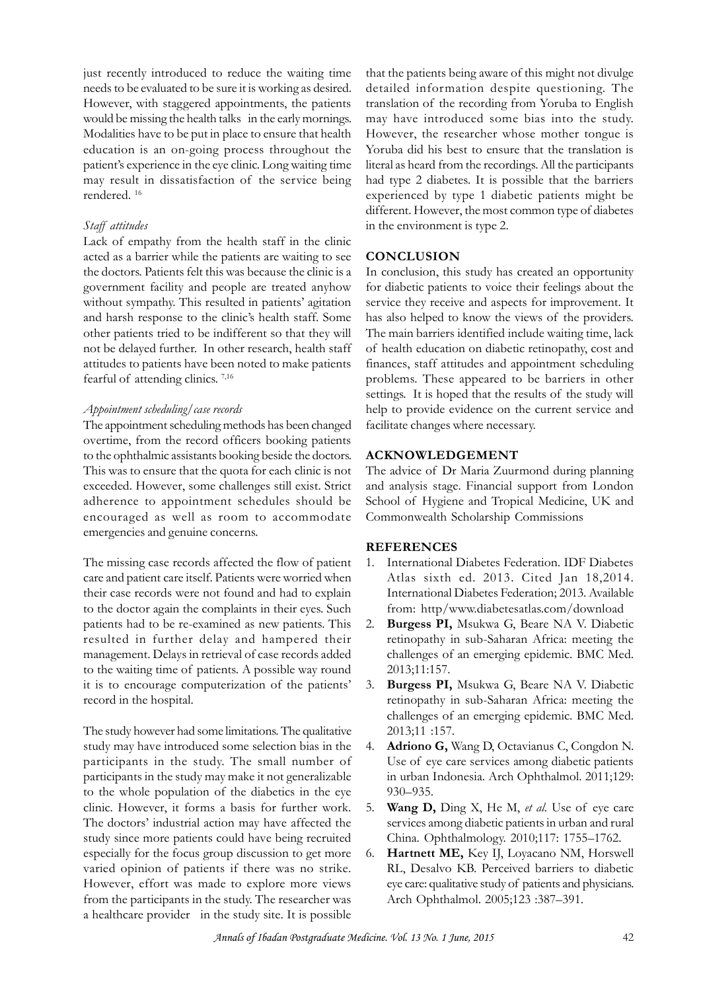just recently introduced to reduce the waiting time needs to be evaluated to be sure it is working as desired. would be missing the health talks in the early mornings. Modalities have to be put in place to ensure that health Howev education is an on-going process throughout the patient's experience in the eye clinic. Long waiting time However, with staggered appointments, the patients<br>would be missing the health talks in the early mornings. may<br>Modalities have to be put in place to ensure that health<br>Howev<br>education is an on-going process throughout th rendered. <sup>16</sup>

## *Staff attitudes*

Lack of empathy from the health staff in the clinic acted as a barrier while the patients are waiting to see the doctors. Patients felt this was because the clinic is a government facility and people are treated anyhow without sympathy. This resulted in patients' agitation and harsh response to the clinic's health staff. Some other patients tried to be indifferent so that they will not be delayed further. In other research, health staff attitudes to patients have been noted to make patients without sympathy. This resulted in<br>and harsh response to the clinic's<br>other patients tried to be indifferer<br>not be delayed further. In other res<br>attitudes to patients have been note<br>fearful of attending clinics.<sup>7,16</sup>

#### *Appointment scheduling/case records*

The appointment scheduling methods has been changed overtime, from the record officers booking patients to the ophthalmic assistants booking beside the doctors. This was to ensure that the quota for each clinic is not exceeded. However, some challenges still exist. Strict adherence to appointment schedules should be School of Hygiene and Tropical Medicine, UK and encouraged as well as room to accommodate emergencies and genuine concerns.

The missing case records affected the flow of patient 1. care and patient care itself. Patients were worried when their case records were not found and had to explain to the doctor again the complaints in their eyes. Such patients had to be re-examined as new patients. This resulted in further delay and hampered their management. Delays in retrieval of case records added their case records were not found and had to explain<br>to the doctor again the complaints in their eyes. Such<br>patients had to be re-examined as new patients. This 2. **B**<br>resulted in further delay and hampered their re<br>manage it is to encourage computerization of the patients' record in the hospital.

The study however had some limitations. The qualitative study may have introduced some selection bias in the participants in the study. The small number of participants in the study may make it not generalizable to the whole population of the diabetics in the eye clinic. However, it forms a basis for further work. 5. The doctors' industrial action may have affected the study since more patients could have being recruited especially for the focus group discussion to get more varied opinion of patients if there was no strike. However, effort was made to explore more views from the participants in the study. The researcher was a healthcare provider in the study site. It is possible

However, with staggered appointments, the patients translation of the recording from Yoruba to English that the patients being aware of this might not divulge detailed information despite questioning. The that the patients being aware of this might not divulge<br>detailed information despite questioning. The<br>translation of the recording from Yoruba to English<br>may have introduced some bias into the study. may have introduced some bias into the study. However, the researcher whose mother tongue is Yoruba did his best to ensure that the translation is literal as heard from the recordings. All the participants had type 2 diabetes. It is possible that the barriers experienced by type 1 diabetic patients might be different. However, the most common type of diabetes in the environment is type 2.

# **CONCLUSION**

In conclusion, this study has created an opportunity for diabetic patients to voice their feelings about the service they receive and aspects for improvement. It **CONCLUSION**<br>In conclusion, this study has created an opportunity<br>for diabetic patients to voice their feelings about the<br>service they receive and aspects for improvement. It<br>has also helped to know the views of the provid The main barriers identified include waiting time, lack In conclusion, this study has created an opportunity<br>for diabetic patients to voice their feelings about the<br>service they receive and aspects for improvement. It<br>has also helped to know the views of the providers.<br>The main finances, staff attitudes and appointment scheduling problems. These appeared to be barriers in other has also helped to know the views of the providers.<br>The main barriers identified include waiting time, lack<br>of health education on diabetic retinopathy, cost and<br>finances, staff attitudes and appointment scheduling<br>problem help to provide evidence on the current service and facilitate changes where necessary. settings. It is hoped that the results of the study will<br>help to provide evidence on the current service and<br>facilitate changes where necessary.<br>**ACKNOWLEDGEMENT**<br>The advice of Dr Maria Zuurmond during planning<br>and analysi

## **ACKNOWLEDGEMENT**

and analysis stage. Financial support from London facilitate changes where necessary.<br> **ACKNOWLEDGEMENT**<br>
The advice of Dr Maria Zuurmond during planning<br>
and analysis stage. Financial support from London<br>
School of Hygiene and Tropical Medicine, UK and<br>
Commonwealth Scho Commonwealth Scholarship Commissions

#### **REFERENCES**

- 1. International Diabetes Federation. IDF Diabetes Atlas sixth ed. 2013. Cited Jan 18,2014. International Diabetes Federation; 2013. Available from: http/www.diabetesatlas.com/download
- 2. **Burgess PI,** Msukwa G, Beare NA V. Diabetic retinopathy in sub-Saharan Africa: meeting the challenges of an emerging epidemic. BMC Med. 2013;11:157.
- 3. **Burgess PI,** Msukwa G, Beare NA V. Diabetic retinopathy in sub-Saharan Africa: meeting the challenges of an emerging epidemic. BMC Med. 2013;11 :157. **Burgess PI,** Msukwa G, Beare NA V. Diabetic<br>retinopathy in sub-Saharan Africa: meeting the<br>challenges of an emerging epidemic. BMC Med.<br>2013;11 :157.<br>**Adriono G,** Wang D, Octavianus C, Congdon N.<br>Use of eye care services
- 4. **Adriono G,** Wang D, Octavianus C, Congdon N. 930–935. 2013;11 :157.<br> **4. Adriono G,** Wang D, Octavianus C, Congdon N.<br>
Use of eye care services among diabetic patients<br>
in urban Indonesia. Arch Ophthalmol. 2011;129:<br>
930–935.<br> **5. Wang D,** Ding X, He M, *et al*. Use of eye ca
- services among diabetic patients in urban and rural China. Ophthalmology. 2010;117: 1755–1762.
- 6. **Hartnett ME,** Key IJ, Loyacano NM, Horswell RL, Desalvo KB. Perceived barriers to diabetic eye care: qualitative study of patients and physicians. Arch Ophthalmol. 2005;123 :387–391.